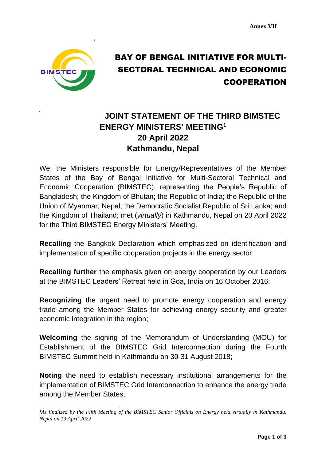

## BAY OF BENGAL INITIATIVE FOR MULTI-SECTORAL TECHNICAL AND ECONOMIC **COOPERATION**

## **Finalized Draft JOINT STATEMENT OF THE THIRD BIMSTEC ENERGY MINISTERS' MEETING<sup>1</sup> 20 April 2022 Kathmandu, Nepal**

We, the Ministers responsible for Energy/Representatives of the Member States of the Bay of Bengal Initiative for Multi-Sectoral Technical and Economic Cooperation (BIMSTEC), representing the People's Republic of Bangladesh; the Kingdom of Bhutan; the Republic of India; the Republic of the Union of Myanmar; Nepal; the Democratic Socialist Republic of Sri Lanka; and the Kingdom of Thailand; met (*virtually*) in Kathmandu, Nepal on 20 April 2022 for the Third BIMSTEC Energy Ministers' Meeting.

**Recalling** the Bangkok Declaration which emphasized on identification and implementation of specific cooperation projects in the energy sector;

**Recalling further** the emphasis given on energy cooperation by our Leaders at the BIMSTEC Leaders' Retreat held in Goa, India on 16 October 2016;

**Recognizing** the urgent need to promote energy cooperation and energy trade among the Member States for achieving energy security and greater economic integration in the region;

**Welcoming** the signing of the Memorandum of Understanding (MOU) for Establishment of the BIMSTEC Grid Interconnection during the Fourth BIMSTEC Summit held in Kathmandu on 30-31 August 2018;

**Noting** the need to establish necessary institutional arrangements for the implementation of BIMSTEC Grid Interconnection to enhance the energy trade among the Member States;

<sup>1</sup>*As finalized by the Fifth Meeting of the BIMSTEC Senior Officials on Energy held virtually in Kathmandu, Nepal on 19 April 2022*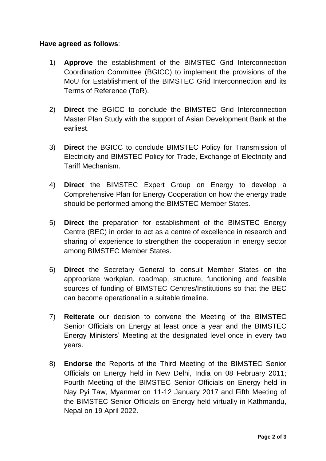## **Have agreed as follows**:

- 1) **Approve** the establishment of the BIMSTEC Grid Interconnection Coordination Committee (BGICC) to implement the provisions of the MoU for Establishment of the BIMSTEC Grid Interconnection and its Terms of Reference (ToR).
- 2) **Direct** the BGICC to conclude the BIMSTEC Grid Interconnection Master Plan Study with the support of Asian Development Bank at the earliest.
- 3) **Direct** the BGICC to conclude BIMSTEC Policy for Transmission of Electricity and BIMSTEC Policy for Trade, Exchange of Electricity and Tariff Mechanism.
- 4) **Direct** the BIMSTEC Expert Group on Energy to develop a Comprehensive Plan for Energy Cooperation on how the energy trade should be performed among the BIMSTEC Member States.
- 5) **Direct** the preparation for establishment of the BIMSTEC Energy Centre (BEC) in order to act as a centre of excellence in research and sharing of experience to strengthen the cooperation in energy sector among BIMSTEC Member States.
- 6) **Direct** the Secretary General to consult Member States on the appropriate workplan, roadmap, structure, functioning and feasible sources of funding of BIMSTEC Centres/Institutions so that the BEC can become operational in a suitable timeline.
- 7) **Reiterate** our decision to convene the Meeting of the BIMSTEC Senior Officials on Energy at least once a year and the BIMSTEC Energy Ministers' Meeting at the designated level once in every two years.
- 8) **Endorse** the Reports of the Third Meeting of the BIMSTEC Senior Officials on Energy held in New Delhi, India on 08 February 2011; Fourth Meeting of the BIMSTEC Senior Officials on Energy held in Nay Pyi Taw, Myanmar on 11-12 January 2017 and Fifth Meeting of the BIMSTEC Senior Officials on Energy held virtually in Kathmandu, Nepal on 19 April 2022.